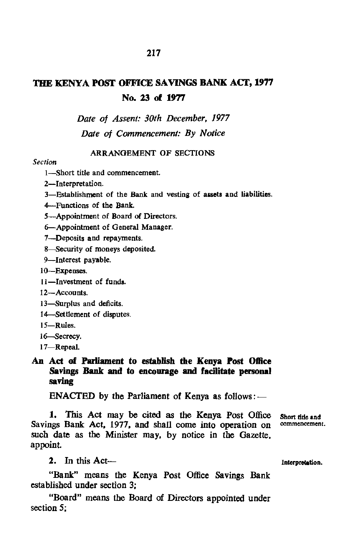# THE KENYA POST OFFICE SAVINGS BANK ACT, 1977 No. 23 of 1977

*Date of Assent: 30th December, 1977 Date of Commencement: By Notice* 

### ARRANGEMENT OF SECTIONS

#### *Section*

I-Short title and commencement.

- 2-Interpretation.
- 3-Establishment of the Bank and vesting of assets and liabilities.
- 4-Functions of the Bank.

5-Appointment of Board of Directors.

6-Appointment of General Manager.

7-Deposits and repayments.

8-Security of moneys deposited.

9-Interest payable.

10-Expenses.

11-Investment of funds.

12-Accounts.

l3-Surplus and deficits.

14-Settlement of disputes.

- 15-Rules.
- l6-Secrecy.

17-Repeal.

## An Act of Parliament to establish the Kenya Post Office Savings Bank and to encourage and facilitate personal saving

ENACTED by the Parliament of Kenya as follows: $-$ 

1. This Act may be cited as the Kenya Post Office Short title and<br>nos Bank Act 1977 and shall come into operation on commencement. Savings Bank Act, 1977, and shall come into operation on such date as the Minister may, by notice in the Gazette, appoint

2. In this Act— lntcrprotation.

"Bank" means the Kenya Post Office Savings Bank established under section 3;

"Board" means the Board of Directors appointed under section 5;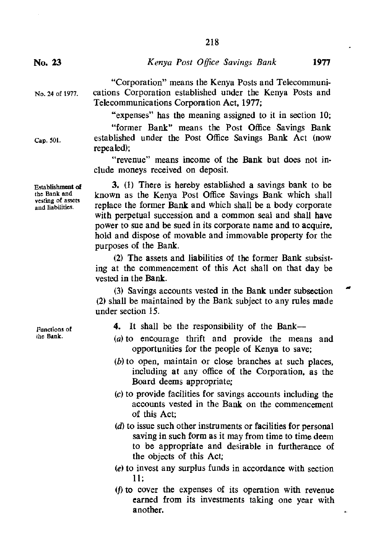*Kenya Post Office Savings Bank* **1977** 

"Corporation" means the Kenya Posts and Telecommunications Corporation established under the Kenya Posts and Telecommunications Corporation Act, 1977;

"expenses" has the meaning assigned to it in section 10;

"former Bank" means the Post Office Savings Bank established under the Post Office Savings Bank Act (now repealed);

"revenue" means income of the Bank but does not include moneys received on deposit.

**3.** (1) There is hereby established a savings bank to be known as the Kenya Post Office Savings Bank which shall replace the former Bank and which shall be a body corporate with perpetual succession and a common seal and shall have power to sue and be sued in its corporate name and to acquire, hold and dispose of movable and immovable property for the purposes of the Bank.

(2) The assets and liabilities of the former Bank subsisting at the commencement of this Act shall on that day be vested in the Bank.

(3) Savings accounts vested in the Bank under subsection (2) shall be maintained by the Bank subject to any rules made under section 15.

- **4.** It shall be the responsibility of the Bank-
- (a) to encourage thrift and provide the means and opportunities for the people of Kenya to save;
- (b) to open, maintain or close branches at such places, including at any office of the Corporation, as the Board deems appropriate;
- (c) to provide facilities for savings accounts including the accounts vested in the Bank on the commencement of this Act;
- $(d)$  to issue such other instruments or facilities for personal saving in such form as it may from time to time deem to be appropriate and desirable in furtherance of the objects of this Act;
- (e) to invest any surplus funds in accordance with section 11;
- (f) to cover the expenses of its operation with revenue earned from its investments taking one year with another.

**Functions of the Buk.** 

**Establishment of the Bank and vesting of assets**  and liabilities.

No. 24 of 1977.

Cap. SOl.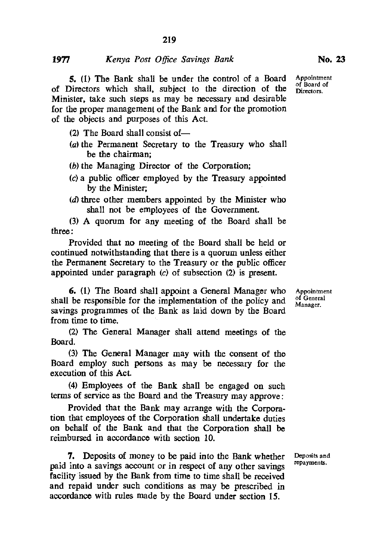## 1977 *Kenya Post Office Savings Bank*

5. (1) The Bank shall be under the control of a Board of Directors which shall, subject to the direction of the Minister, take such steps as may be necessary and desirable for the proper management of the Bank and for the promotion of the objects and purposes of this Act.

- $(2)$  The Board shall consist of-
- (a) the Permanent Secretary to the Treasury who shall be the chairman;
- (b) the Managing Director of the Corporation;
- (c) a public officer employed by the Treasury appointed by the Minister;
- (d) three other members appointed by the Minister who shall not be employees of the Government.

(3) A quorum for any meeting of the Board shall be three:

Provided that no meeting of the Board shall be held or continued notwithstanding that there is a quorum unless either the Permanent Secretary to the Treasury or the public officer appointed under paragraph (c) of subsection (2) is present.

6. (l) The Board shall appoint a General Manager who shall be responsible for the implementation of the policy and savings programmes of the Bank as laid down by the Board from time to time.

(2) The General Manager shall attend meetings of the Board.

(3) The General Manager may with the consent of the Board employ such persons as may be necessary for the execution of this Act.

(4) Employees of the Bank shall be engaged on such terms of service as the Board and the Treasury may approve:

Provided that the Bank may arrange with the Corporation that employees of the Corporation shall undertake duties on behalf of the Bank and that the Corporation shall be reimbursed in accordance with section 10.

7. Deposits of money to be paid into the Bank whether paid into a savings account or in respect of any other savings facility issued by the Bank from time to time shall be received and repaid under such conditions as may be prescribed in accordance with rules made by the Board under section 15.

Appointment of General Manager.

Deposits and repayments.

Appointment of Board of Directors.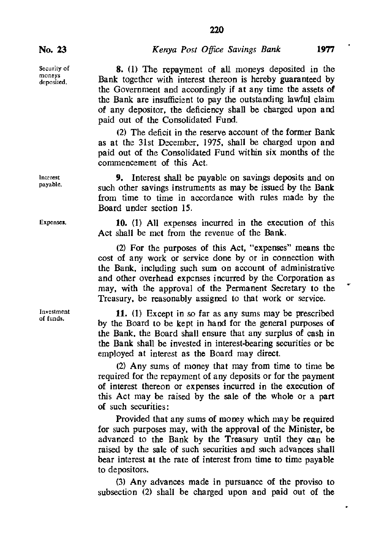8. (1) The repayment of all moneys deposited in the Bank together with interest thereon is hereby guaranteed by the Government and accordingly if at any time the assets of the Bank are insufficient to pay the outstanding lawful claim of any depositor. the deficiency shall be charged upon and paid out of the Consolidated Fund.

(2) The deficit in the reserve account of the former Bank as at the 31st December. 1975. shall be charged upon and paid out of the Consolidated Fund within six months of the commencement of this Act.

9. Interest shall be payable on savings deposits and on such other savings instruments as may be issued by the Bank from time to time in accordance with rules made by the Board under section 15.

10. (1) All expenses incurred in the execution of this Act shall be met from the revenue of the Bank.

(2) For the purposes of this Act. "expenses" means the cost of any work or service done by or in connection with the Bank. including such sum on account of administrative and other overhead expenses incurred by the Corporation as may. with the approval of the Permanent Secretary to the Treasury. be reasonably assigned to that work or service.

11. (1) Except in so far as any sums may be prescribed by the Board to be kept in hand for the general purposes of the Bank. the Board shall ensure that any surplus of cash in the Bank shall be invested in interest-bearing securities or be employed at interest as the Board may direct.

(2) Any sums of money that may from time to time be required for the repayment of any deposits or for the payment of interest thereon or expenses incurred in the execution of this Act may be raised by the sale of the whole or a part of such securities:

Provided that any sums of money which may be required for such purposes may. with the approval of the Minister. be advanced to the Bank by the Treasury until they can be raised by the sale of such securities and such advances shall bear interest at the rate of interest from time to time payable to depositors.

(3) Any advances made in pursuance of the proviso to subsection (2) shall be charged upon and paid out of the

Security of moneys deposited.

Interest payable.

Expenses.

Investment of funds.

٠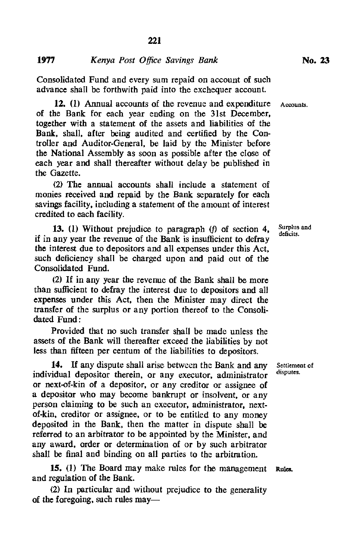Consolidated Fund and every sum repaid on account of such advance shall be forthwith paid into the exchequer account.

**12.** (1) Annual accounts of the revenue and expenditure of the Bank for each year ending on the 31st December. together with a statement of the assets and liabilities of the Bank. shall. after being audited and certified by the Controller and Auditor-General. be laid by the Minister before the National Assembly as soon as possible after the close of each year and shall thereafter without delay be published in the Gazette.

(2) The annual accounts shall include a statement of monies received and repaid by the Bank separately for each savings facility. including a statement of the amount of interest credited to each facility.

**13.** (l) Without prejudice to paragraph *(f)* of section 4. if in any year the revenue of the Bank is insufficient to defray the interest due to depositors and all expenses under this Act. such deficiency shall be charged upon and paid out of the Consolidated Fund.

(2) If in any year the revenue of the Bank shall be more than sufficient to defray the interest due to depositors and all expenses under this Act. then the Minister may direct the transfer of the surplus or any portion thereof to the Consolidated Fund:

Provided that no such transfer shall be made unless the assets of the Bank will thereafter exceed the liabilities by not less than fifteen per centum of the liabilities to depositors.

14. If any dispute shall arise between the Bank and any Settlement of ridual denositor therein, or any executor edministrator disputes. individual depositor therein, or any executor, administrator or next-of-kin of a depositor. or any creditor or assignee of a depositor who may become bankrupt or insolvent. or any person claiming to be such an executor. administrator. nextof-kin. creditor or assignee. or to be entitled to any money deposited in the Bank. then the matter in dispute shall be referred to an arbitrator to be appointed by the Minister. and any award. order or determination of or by such arbitrator shall be final and binding on all parties to the arbitration.

**15.** (l) The Board may make rules for the management Rules. and regulation of the Bank.

(2) In particular and without prejudice to the generality of the foregoing, such rules may**Accounts.** 

**Surplus and deficits.**